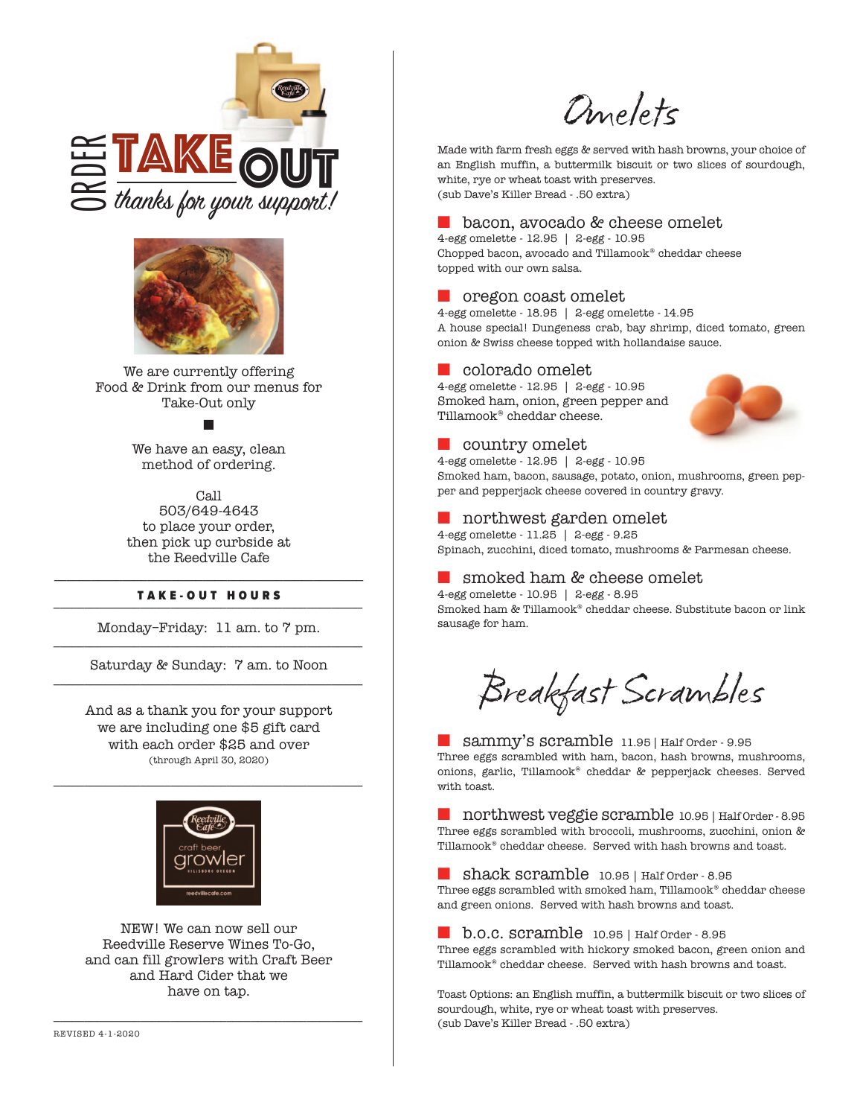



We are currently offering Food & Drink from our menus for Take-Out only

## n

We have an easy, clean method of ordering.

Call

503/649-4643 to place your order, then pick up curbside at the Reedville Cafe

## \_\_\_\_\_\_\_\_\_\_\_\_\_\_\_\_\_\_\_\_\_\_\_\_\_\_\_\_\_\_\_\_\_\_\_\_\_\_\_\_\_\_\_\_\_\_\_\_\_\_ TAKE-OUT HOURS

Monday–Friday: 11 am. to 7 pm. \_\_\_\_\_\_\_\_\_\_\_\_\_\_\_\_\_\_\_\_\_\_\_\_\_\_\_\_\_\_\_\_\_\_\_\_\_\_\_\_\_\_\_\_\_\_\_\_\_\_

Saturday & Sunday: 7 am. to Noon \_\_\_\_\_\_\_\_\_\_\_\_\_\_\_\_\_\_\_\_\_\_\_\_\_\_\_\_\_\_\_\_\_\_\_\_\_\_\_\_\_\_\_\_\_\_\_\_\_\_

And as a thank you for your support we are including one \$5 gift card with each order \$25 and over (through April 30, 2020)

\_\_\_\_\_\_\_\_\_\_\_\_\_\_\_\_\_\_\_\_\_\_\_\_\_\_\_\_\_\_\_\_\_\_\_\_\_\_\_\_\_\_\_\_\_\_\_\_\_\_



NEW! We can now sell our Reedville Reserve Wines To-Go, and can fill growlers with Craft Beer and Hard Cider that we have on tap.

\_\_\_\_\_\_\_\_\_\_\_\_\_\_\_\_\_\_\_\_\_\_\_\_\_\_\_\_\_\_\_\_\_\_\_\_\_\_\_\_\_\_\_\_\_\_\_\_\_\_

Omelets

Made with farm fresh eggs & served with hash browns, your choice of an English muffin, a buttermilk biscuit or two slices of sourdough, white, rye or wheat toast with preserves. (sub Dave's Killer Bread - .50 extra)

## ■ bacon, avocado & cheese omelet

4-egg omelette - 12.95 | 2-egg - 10.95 Chopped bacon, avocado and Tillamook® cheddar cheese topped with our own salsa.

## ■ oregon coast omelet

4-egg omelette - 18.95 | 2-egg omelette - 14.95 A house special! Dungeness crab, bay shrimp, diced tomato, green onion & Swiss cheese topped with hollandaise sauce.

## ■ colorado omelet

4-egg omelette - 12.95 | 2-egg - 10.95 Smoked ham, onion, green pepper and Tillamook® cheddar cheese.



#### 4-egg omelette - 12.95 | 2-egg - 10.95

Smoked ham, bacon, sausage, potato, onion, mushrooms, green pepper and pepperjack cheese covered in country gravy.

## ■ northwest garden omelet

4-egg omelette - 11.25 | 2-egg - 9.25 Spinach, zucchini, diced tomato, mushrooms & Parmesan cheese.

## ■ smoked ham & cheese omelet

4-egg omelette - 10.95 | 2-egg - 8.95 Smoked ham & Tillamook® cheddar cheese. Substitute bacon or link sausage for ham.

Breakfast Scrambles

■ sammy's scramble 11.95 | Half Order - 9.95 Three eggs scrambled with ham, bacon, hash browns, mushrooms, onions, garlic, Tillamook® cheddar & pepperjack cheeses. Served with toast.

■ northwest veggie scramble 10.95 | Half Order - 8.95 Three eggs scrambled with broccoli, mushrooms, zucchini, onion & Tillamook® cheddar cheese. Served with hash browns and toast.

■ shack scramble 10.95 | Half Order - 8.95 Three eggs scrambled with smoked ham, Tillamook® cheddar cheese and green onions. Served with hash browns and toast.

■ b.o.c. scramble 10.95 | Half Order - 8.95 Three eggs scrambled with hickory smoked bacon, green onion and Tillamook® cheddar cheese. Served with hash browns and toast.

Toast Options: an English muffin, a buttermilk biscuit or two slices of sourdough, white, rye or wheat toast with preserves. (sub Dave's Killer Bread - .50 extra)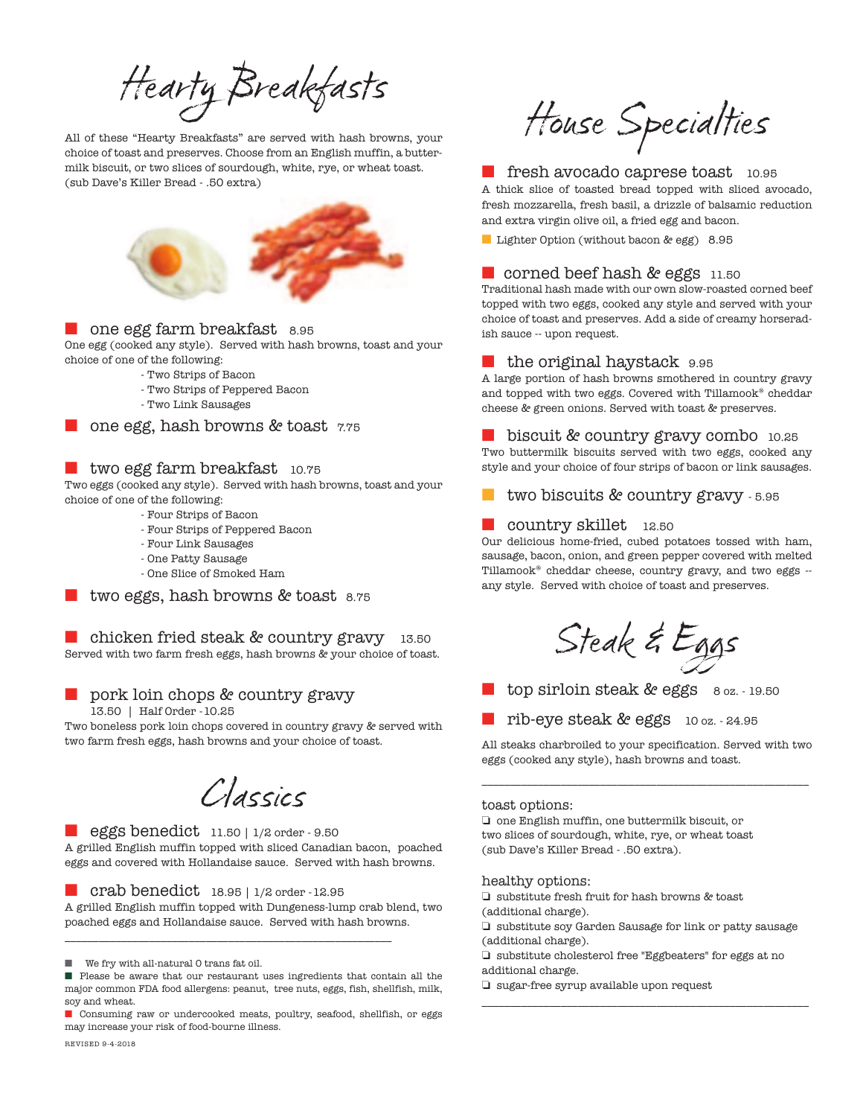Hearty Breakfasts

All of these "Hearty Breakfasts" are served with hash browns, your choice of toast and preserves. Choose from an English muffin, a buttermilk biscuit, or two slices of sourdough, white, rye, or wheat toast. (sub Dave's Killer Bread - .50 extra)



#### ■ one egg farm breakfast 8.95

One egg (cooked any style). Served with hash browns, toast and your choice of one of the following:

- Two Strips of Bacon
- Two Strips of Peppered Bacon
- Two Link Sausages

one egg, hash browns & toast 7.75

### ■ two egg farm breakfast 10.75

Two eggs (cooked any style). Served with hash browns, toast and your choice of one of the following:

- Four Strips of Bacon
- Four Strips of Peppered Bacon
- Four Link Sausages
- One Patty Sausage
- One Slice of Smoked Ham

two eggs, hash browns & toast 8.75

■ chicken fried steak & country gravy 13.50 Served with two farm fresh eggs, hash browns & your choice of toast.

pork loin chops & country gravy 13.50 | Half Order -10.25

Two boneless pork loin chops covered in country gravy & served with two farm fresh eggs, hash browns and your choice of toast.

Classics

#### ■ eggs benedict 11.50 | 1/2 order - 9.50

A grilled English muffin topped with sliced Canadian bacon, poached eggs and covered with Hollandaise sauce. Served with hash browns.

#### ■ crab benedict 18.95 | 1/2 order -12.95

A grilled English muffin topped with Dungeness-lump crab blend, two poached eggs and Hollandaise sauce. Served with hash browns.

\_\_\_\_\_\_\_\_\_\_\_\_\_\_\_\_\_\_\_\_\_\_\_\_\_\_\_\_\_\_\_\_\_\_\_\_\_\_\_\_\_\_\_\_\_\_\_\_\_\_\_\_\_\_\_\_\_\_

■ We fry with all-natural 0 trans fat oil.

■ Consuming raw or undercooked meats, poultry, seafood, shellfish, or eggs may increase your risk of food-bourne illness.

REVISED 9-4-2018

House Specialties

## ■ fresh avocado caprese toast 10.95

A thick slice of toasted bread topped with sliced avocado, fresh mozzarella, fresh basil, a drizzle of balsamic reduction and extra virgin olive oil, a fried egg and bacon.

■ Lighter Option (without bacon & egg) 8.95

#### ■ corned beef hash & eggs 11.50

Traditional hash made with our own slow-roasted corned beef topped with two eggs, cooked any style and served with your choice of toast and preserves. Add a side of creamy horseradish sauce -- upon request.

#### ■ the original haystack 9.95

A large portion of hash browns smothered in country gravy and topped with two eggs. Covered with Tillamook® cheddar cheese & green onions. Served with toast & preserves.

■ biscuit & country gravy combo 10.25

Two buttermilk biscuits served with two eggs, cooked any style and your choice of four strips of bacon or link sausages.

#### two biscuits & country gravy - 5.95

#### ■ country skillet 12.50

Our delicious home-fried, cubed potatoes tossed with ham, sausage, bacon, onion, and green pepper covered with melted Tillamook® cheddar cheese, country gravy, and two eggs - any style. Served with choice of toast and preserves.

Steak & Eggs

top sirloin steak & eggs 8 oz. - 19.50

■ rib-eye steak & eggs 10 oz. - 24.95

All steaks charbroiled to your specification. Served with two eggs (cooked any style), hash browns and toast.

\_\_\_\_\_\_\_\_\_\_\_\_\_\_\_\_\_\_\_\_\_\_\_\_\_\_\_\_\_\_\_\_\_\_\_\_\_\_\_\_\_\_\_\_\_\_\_\_\_\_\_\_\_\_\_\_\_\_

#### toast options:

❏ one English muffin, one buttermilk biscuit, or two slices of sourdough, white, rye, or wheat toast (sub Dave's Killer Bread - .50 extra).

#### healthy options:

❏ substitute fresh fruit for hash browns & toast (additional charge).

❏ substitute soy Garden Sausage for link or patty sausage (additional charge).

\_\_\_\_\_\_\_\_\_\_\_\_\_\_\_\_\_\_\_\_\_\_\_\_\_\_\_\_\_\_\_\_\_\_\_\_\_\_\_\_\_\_\_\_\_\_\_\_\_\_\_\_\_\_\_\_\_\_

❏ substitute cholesterol free "Eggbeaters" for eggs at no additional charge.

❏ sugar-free syrup available upon request

Please be aware that our restaurant uses ingredients that contain all the major common FDA food allergens: peanut, tree nuts, eggs, fish, shellfish, milk, soy and wheat.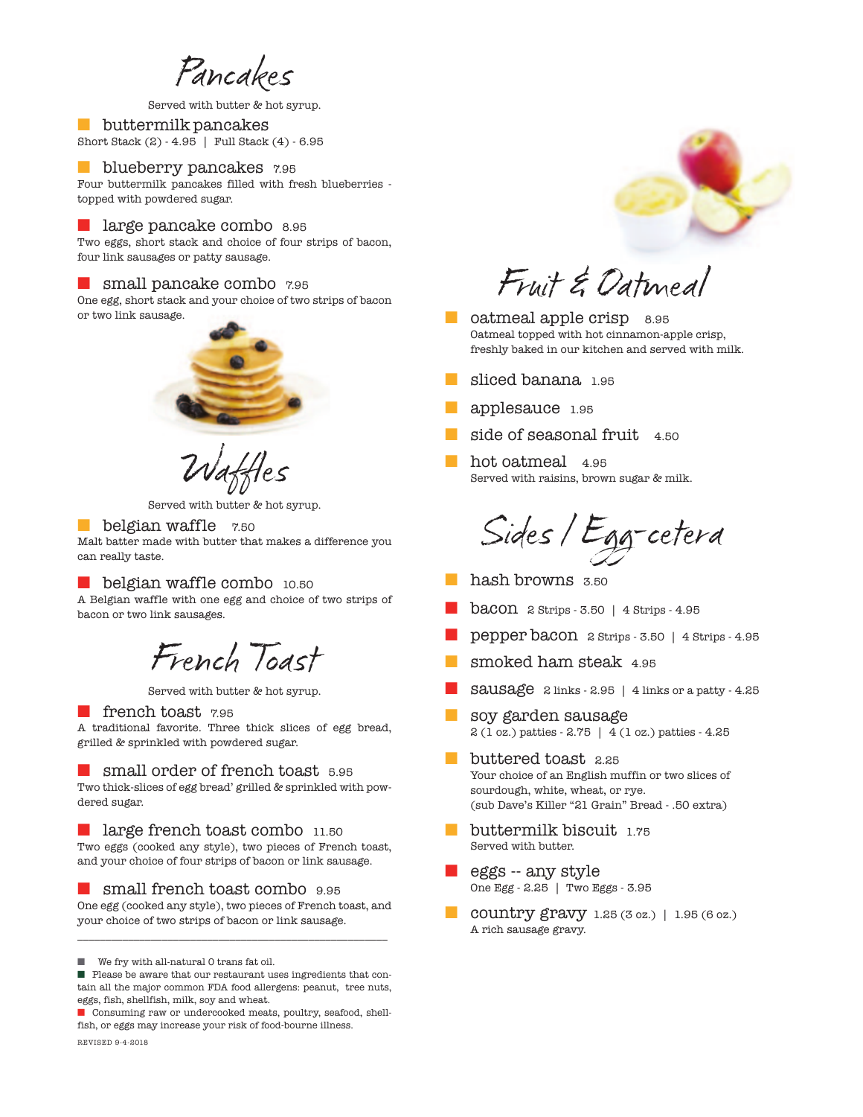Pancakes

Served with butter & hot syrup.

■ buttermilk pancakes Short Stack (2) - 4.95 | Full Stack (4) - 6.95

## **blueberry pancakes** 7.95

Four buttermilk pancakes filled with fresh blueberries topped with powdered sugar.

#### ■ large pancake combo 8.95

Two eggs, short stack and choice of four strips of bacon, four link sausages or patty sausage.

#### ■ small pancake combo 7.95

One egg, short stack and your choice of two strips of bacon or two link sausage.



Waffles

Served with butter & hot syrup.

#### ■ belgian waffle 7.50

Malt batter made with butter that makes a difference you can really taste.

#### ■ belgian waffle combo 10.50

A Belgian waffle with one egg and choice of two strips of bacon or two link sausages.

## French Toast

Served with butter & hot syrup.

#### ■ french toast 795

A traditional favorite. Three thick slices of egg bread, grilled & sprinkled with powdered sugar.

#### ■ small order of french toast 5.95

Two thick-slices of egg bread' grilled & sprinkled with powdered sugar.

#### ■ large french toast combo 11.50

Two eggs (cooked any style), two pieces of French toast, and your choice of four strips of bacon or link sausage.

■ small french toast combo 9.95 One egg (cooked any style), two pieces of French toast, and your choice of two strips of bacon or link sausage.

\_\_\_\_\_\_\_\_\_\_\_\_\_\_\_\_\_\_\_\_\_\_\_\_\_\_\_\_\_\_\_\_\_\_\_\_\_\_\_\_\_\_\_\_\_\_\_\_\_\_\_\_\_\_\_

■ We fry with all-natural 0 trans fat oil.

■ Consuming raw or undercooked meats, poultry, seafood, shellfish, or eggs may increase your risk of food-bourne illness. REVISED 9-4-2018



Fruit & Oatmeal

- oatmeal apple crisp 8.95 Oatmeal topped with hot cinnamon-apple crisp, freshly baked in our kitchen and served with milk.
- sliced banana 1.95
- applesauce 1.95
- side of seasonal fruit 4.50
- hot oatmeal 4.95 Served with raisins, brown sugar & milk.

Sides / Egg-cetera

- hash browns 3.50
- $\text{bacon}$  2 Strips 3.50 | 4 Strips 4.95
- pepper bacon 2 Strips 3.50 | 4 Strips 4.95
- smoked ham steak 4.95
- Sausage 2 links 2.95 | 4 links or a patty 4.25
- soy garden sausage 2 (1 oz.) patties - 2.75 | 4 (1 oz.) patties - 4.25
- buttered toast 2.25 Your choice of an English muffin or two slices of sourdough, white, wheat, or rye. (sub Dave's Killer "21 Grain" Bread - .50 extra)
- buttermilk biscuit 1.75 Served with butter.
- eggs -- any style One Egg - 2.25 | Two Eggs - 3.95
- **country gravy** 1.25 (3 oz.) | 1.95 (6 oz.) A rich sausage gravy.

<sup>■</sup> Please be aware that our restaurant uses ingredients that contain all the major common FDA food allergens: peanut, tree nuts, eggs, fish, shellfish, milk, soy and wheat.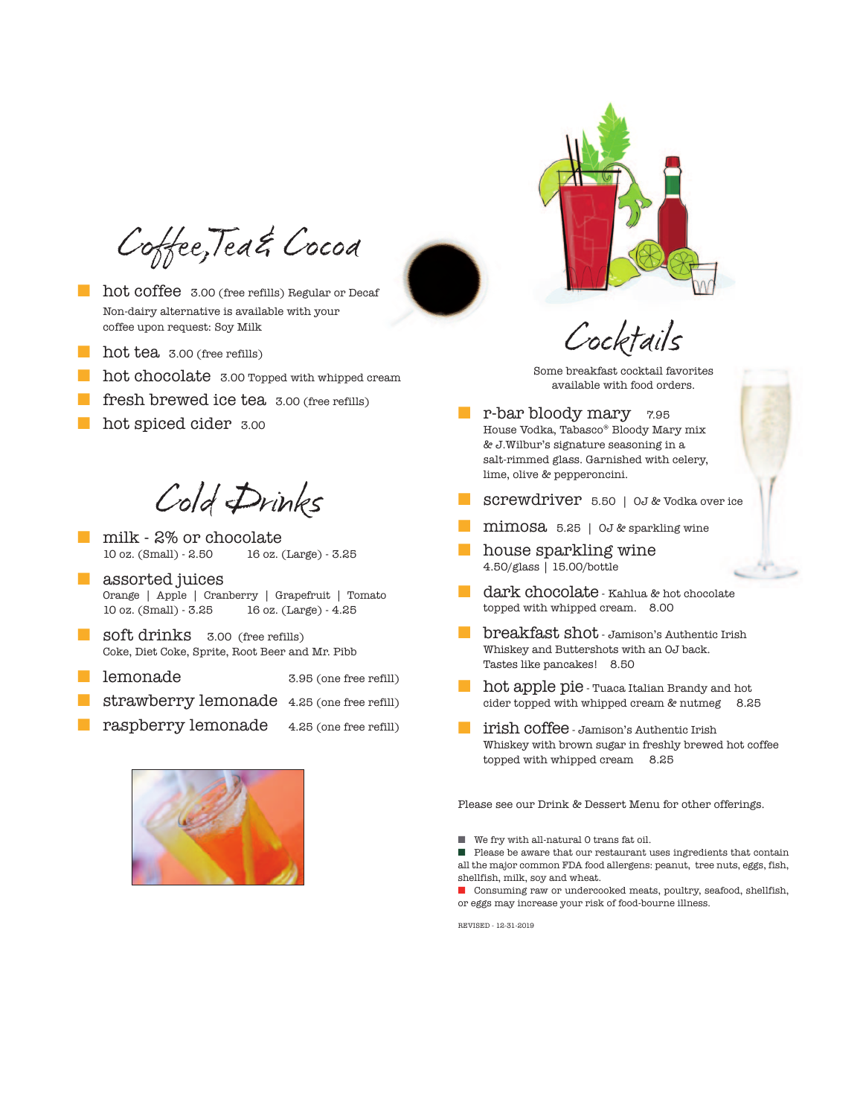Coffee,Tea& Cocoa

■ hot coffee 3.00 (free refills) Regular or Decaf Non-dairy alternative is available with your coffee upon request: Soy Milk

- hot tea 3.00 (free refills)
- hot chocolate 3.00 Topped with whipped cream
- fresh brewed ice tea 3.00 (free refills)
- hot spiced cider 3.00

Cold Drinks

- milk 2% or chocolate<br>10 oz. (Small) 2.50 16 oz. (Large) 3.25
- assorted juices Orange | Apple | Cranberry | Grapefruit | Tomato 10 oz. (Small) - 3.25 16 oz. (Large) - 4.25
- **soft drinks** 3.00 (free refills) Coke, Diet Coke, Sprite, Root Beer and Mr. Pibb
- lemonade 3.95 (one free refill)
- strawberry lemonade 4.25 (one free refill)
- raspberry lemonade 4.25 (one free refill)





Cocktails

Some breakfast cocktail favorites available with food orders.

- r-bar bloody mary 7.95 House Vodka, Tabasco® Bloody Mary mix & J.Wilbur's signature seasoning in a salt-rimmed glass. Garnished with celery, lime, olive & pepperoncini.
- screwdriver 5.50 | OJ & Vodka over ice
- mimosa 5.25 | OJ & sparkling wine
- house sparkling wine<br>4.50/glass | 15.00/bottle
- dark chocolate Kahlua & hot chocolate topped with whipped cream. 8.00

se.

- breakfast shot Jamison's Authentic Irish Whiskey and Buttershots with an OJ back. Tastes like pancakes! 8.50
- hot apple pie Tuaca Italian Brandy and hot cider topped with whipped cream & nutmeg 8.25
- **If it is a light coffee** Jamison's Authentic Irish Whiskey with brown sugar in freshly brewed hot coffee topped with whipped cream 8.25

Please see our Drink & Dessert Menu for other offerings.

■ We fry with all-natural 0 trans fat oil.

■ Please be aware that our restaurant uses ingredients that contain all the major common FDA food allergens: peanut, tree nuts, eggs, fish, shellfish, milk, soy and wheat.

■ Consuming raw or undercooked meats, poultry, seafood, shellfish, or eggs may increase your risk of food-bourne illness.

REVISED - 12-31-2019